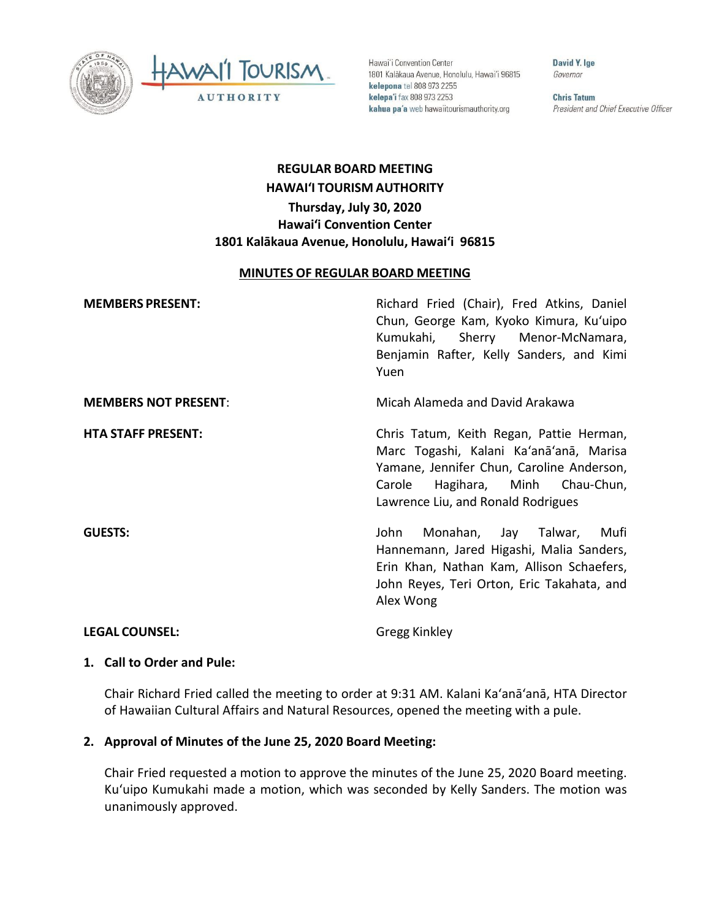



Hawai'i Convention Center 1801 Kalākaua Avenue, Honolulu, Hawai'i 96815 kelepona tel 808 973 2255 kelepa'i fax 808 973 2253 kahua pa'a web hawaiitourismauthority.org

David Y. Ige Governor

**Chris Tatum** President and Chief Executive Officer

# **REGULAR BOARD MEETING HAWAI'I TOURISM AUTHORITY Thursday, July 30, 2020 Hawai'i Convention Center 1801 Kalākaua Avenue, Honolulu, Hawai'i 96815**

#### **MINUTES OF REGULAR BOARD MEETING**

| <b>MEMBERS PRESENT:</b>     | Richard Fried (Chair), Fred Atkins, Daniel<br>Chun, George Kam, Kyoko Kimura, Ku'uipo<br>Kumukahi, Sherry Menor-McNamara,<br>Benjamin Rafter, Kelly Sanders, and Kimi<br>Yuen                                 |
|-----------------------------|---------------------------------------------------------------------------------------------------------------------------------------------------------------------------------------------------------------|
| <b>MEMBERS NOT PRESENT:</b> | Micah Alameda and David Arakawa                                                                                                                                                                               |
| <b>HTA STAFF PRESENT:</b>   | Chris Tatum, Keith Regan, Pattie Herman,<br>Marc Togashi, Kalani Ka'anā'anā, Marisa<br>Yamane, Jennifer Chun, Caroline Anderson,<br>Hagihara, Minh Chau-Chun,<br>Carole<br>Lawrence Liu, and Ronald Rodrigues |
| <b>GUESTS:</b>              | Monahan, Jay Talwar,<br>Mufi<br>John<br>Hannemann, Jared Higashi, Malia Sanders,<br>Erin Khan, Nathan Kam, Allison Schaefers,<br>John Reyes, Teri Orton, Eric Takahata, and<br>Alex Wong                      |
| <b>LEGAL COUNSEL:</b>       | Gregg Kinkley                                                                                                                                                                                                 |

### **1. Call to Order and Pule:**

Chair Richard Fried called the meeting to order at 9:31 AM. Kalani Ka'anā'anā, HTA Director of Hawaiian Cultural Affairs and Natural Resources, opened the meeting with a pule.

## **2. Approval of Minutes of the June 25, 2020 Board Meeting:**

Chair Fried requested a motion to approve the minutes of the June 25, 2020 Board meeting. Kuʻuipo Kumukahi made a motion, which was seconded by Kelly Sanders. The motion was unanimously approved.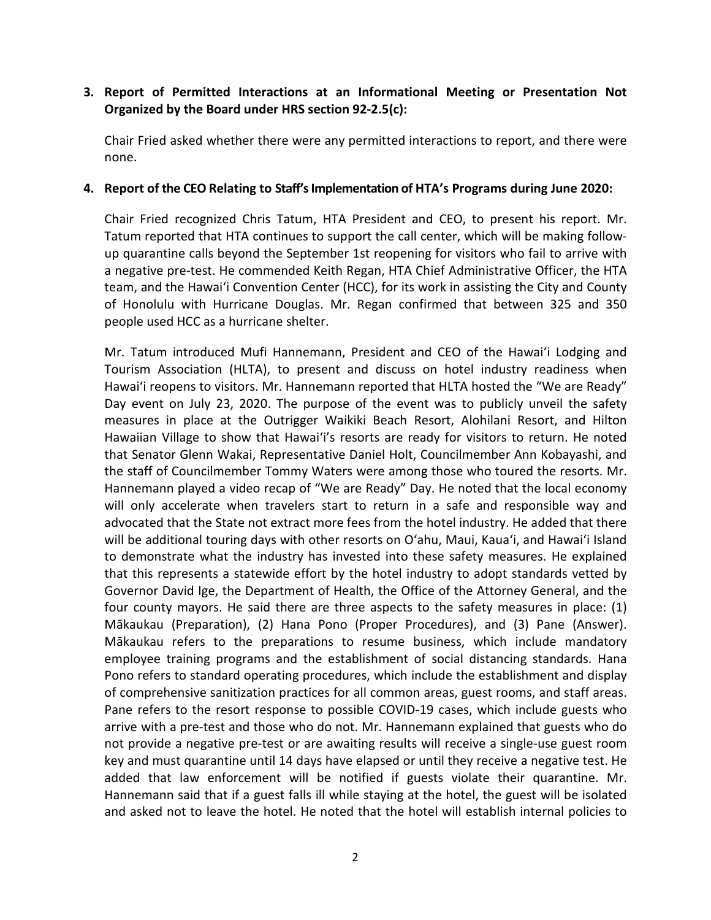# **3. Report of Permitted Interactions at an Informational Meeting or Presentation Not Organized by the Board under HRS section 92-2.5(c):**

Chair Fried asked whether there were any permitted interactions to report, and there were none.

## **4. Report of the CEO Relating to Staff's Implementation of HTA's Programs during June 2020:**

Chair Fried recognized Chris Tatum, HTA President and CEO, to present his report. Mr. Tatum reported that HTA continues to support the call center, which will be making followup quarantine calls beyond the September 1st reopening for visitors who fail to arrive with a negative pre-test. He commended Keith Regan, HTA Chief Administrative Officer, the HTA team, and the Hawaiʻi Convention Center (HCC), for its work in assisting the City and County of Honolulu with Hurricane Douglas. Mr. Regan confirmed that between 325 and 350 people used HCC as a hurricane shelter.

Mr. Tatum introduced Mufi Hannemann, President and CEO of the Hawaiʻi Lodging and Tourism Association (HLTA), to present and discuss on hotel industry readiness when Hawaiʻi reopens to visitors. Mr. Hannemann reported that HLTA hosted the "We are Ready" Day event on July 23, 2020. The purpose of the event was to publicly unveil the safety measures in place at the Outrigger Waikiki Beach Resort, Alohilani Resort, and Hilton Hawaiian Village to show that Hawaiʻi's resorts are ready for visitors to return. He noted that Senator Glenn Wakai, Representative Daniel Holt, Councilmember Ann Kobayashi, and the staff of Councilmember Tommy Waters were among those who toured the resorts. Mr. Hannemann played a video recap of "We are Ready" Day. He noted that the local economy will only accelerate when travelers start to return in a safe and responsible way and advocated that the State not extract more fees from the hotel industry. He added that there will be additional touring days with other resorts on Oʻahu, Maui, Kauaʻi, and Hawaiʻi Island to demonstrate what the industry has invested into these safety measures. He explained that this represents a statewide effort by the hotel industry to adopt standards vetted by Governor David Ige, the Department of Health, the Office of the Attorney General, and the four county mayors. He said there are three aspects to the safety measures in place: (1) Mākaukau (Preparation), (2) Hana Pono (Proper Procedures), and (3) Pane (Answer). Mākaukau refers to the preparations to resume business, which include mandatory employee training programs and the establishment of social distancing standards. Hana Pono refers to standard operating procedures, which include the establishment and display of comprehensive sanitization practices for all common areas, guest rooms, and staff areas. Pane refers to the resort response to possible COVID-19 cases, which include guests who arrive with a pre-test and those who do not. Mr. Hannemann explained that guests who do not provide a negative pre-test or are awaiting results will receive a single-use guest room key and must quarantine until 14 days have elapsed or until they receive a negative test. He added that law enforcement will be notified if guests violate their quarantine. Mr. Hannemann said that if a guest falls ill while staying at the hotel, the guest will be isolated and asked not to leave the hotel. He noted that the hotel will establish internal policies to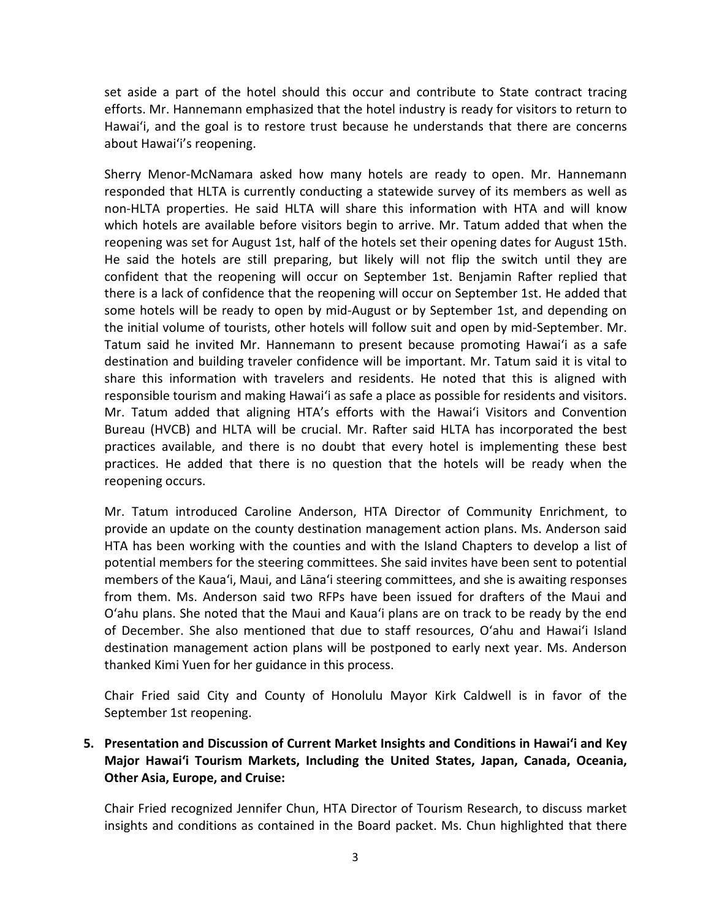set aside a part of the hotel should this occur and contribute to State contract tracing efforts. Mr. Hannemann emphasized that the hotel industry is ready for visitors to return to Hawaiʻi, and the goal is to restore trust because he understands that there are concerns about Hawaiʻi's reopening.

Sherry Menor-McNamara asked how many hotels are ready to open. Mr. Hannemann responded that HLTA is currently conducting a statewide survey of its members as well as non-HLTA properties. He said HLTA will share this information with HTA and will know which hotels are available before visitors begin to arrive. Mr. Tatum added that when the reopening was set for August 1st, half of the hotels set their opening dates for August 15th. He said the hotels are still preparing, but likely will not flip the switch until they are confident that the reopening will occur on September 1st. Benjamin Rafter replied that there is a lack of confidence that the reopening will occur on September 1st. He added that some hotels will be ready to open by mid-August or by September 1st, and depending on the initial volume of tourists, other hotels will follow suit and open by mid-September. Mr. Tatum said he invited Mr. Hannemann to present because promoting Hawaiʻi as a safe destination and building traveler confidence will be important. Mr. Tatum said it is vital to share this information with travelers and residents. He noted that this is aligned with responsible tourism and making Hawaiʻi as safe a place as possible for residents and visitors. Mr. Tatum added that aligning HTA's efforts with the Hawaiʻi Visitors and Convention Bureau (HVCB) and HLTA will be crucial. Mr. Rafter said HLTA has incorporated the best practices available, and there is no doubt that every hotel is implementing these best practices. He added that there is no question that the hotels will be ready when the reopening occurs.

Mr. Tatum introduced Caroline Anderson, HTA Director of Community Enrichment, to provide an update on the county destination management action plans. Ms. Anderson said HTA has been working with the counties and with the Island Chapters to develop a list of potential members for the steering committees. She said invites have been sent to potential members of the Kauaʻi, Maui, and Lāna'i steering committees, and she is awaiting responses from them. Ms. Anderson said two RFPs have been issued for drafters of the Maui and Oʻahu plans. She noted that the Maui and Kauaʻi plans are on track to be ready by the end of December. She also mentioned that due to staff resources, Oʻahu and Hawai'i Island destination management action plans will be postponed to early next year. Ms. Anderson thanked Kimi Yuen for her guidance in this process.

Chair Fried said City and County of Honolulu Mayor Kirk Caldwell is in favor of the September 1st reopening.

# **5. Presentation and Discussion of Current Market Insights and Conditions in Hawai'i and Key Major Hawai'i Tourism Markets, Including the United States, Japan, Canada, Oceania, Other Asia, Europe, and Cruise:**

Chair Fried recognized Jennifer Chun, HTA Director of Tourism Research, to discuss market insights and conditions as contained in the Board packet. Ms. Chun highlighted that there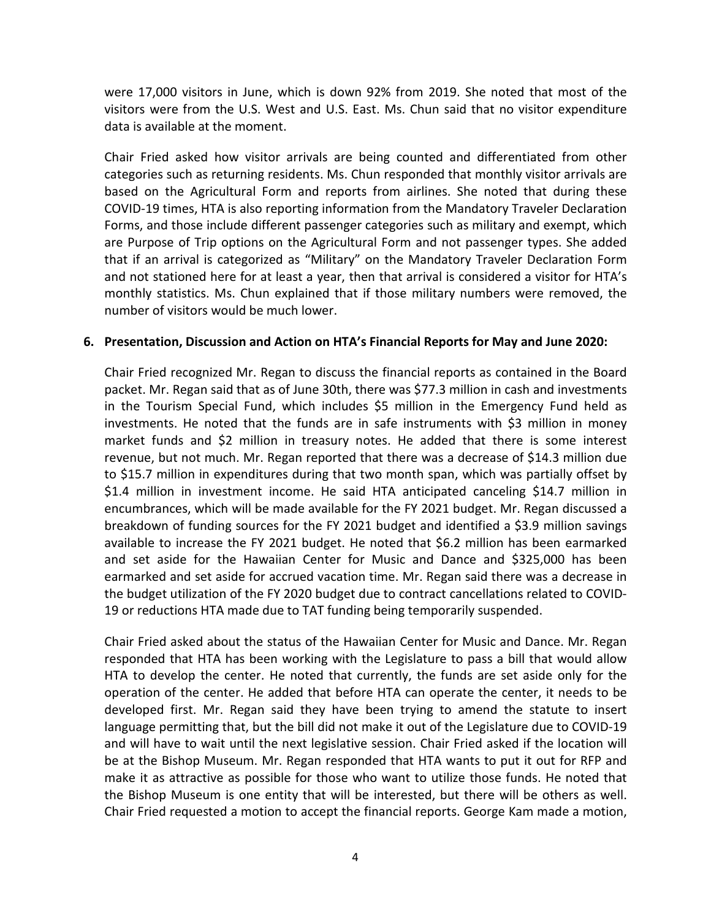were 17,000 visitors in June, which is down 92% from 2019. She noted that most of the visitors were from the U.S. West and U.S. East. Ms. Chun said that no visitor expenditure data is available at the moment.

Chair Fried asked how visitor arrivals are being counted and differentiated from other categories such as returning residents. Ms. Chun responded that monthly visitor arrivals are based on the Agricultural Form and reports from airlines. She noted that during these COVID-19 times, HTA is also reporting information from the Mandatory Traveler Declaration Forms, and those include different passenger categories such as military and exempt, which are Purpose of Trip options on the Agricultural Form and not passenger types. She added that if an arrival is categorized as "Military" on the Mandatory Traveler Declaration Form and not stationed here for at least a year, then that arrival is considered a visitor for HTA's monthly statistics. Ms. Chun explained that if those military numbers were removed, the number of visitors would be much lower.

#### **6. Presentation, Discussion and Action on HTA's Financial Reports for May and June 2020:**

Chair Fried recognized Mr. Regan to discuss the financial reports as contained in the Board packet. Mr. Regan said that as of June 30th, there was \$77.3 million in cash and investments in the Tourism Special Fund, which includes \$5 million in the Emergency Fund held as investments. He noted that the funds are in safe instruments with \$3 million in money market funds and \$2 million in treasury notes. He added that there is some interest revenue, but not much. Mr. Regan reported that there was a decrease of \$14.3 million due to \$15.7 million in expenditures during that two month span, which was partially offset by \$1.4 million in investment income. He said HTA anticipated canceling \$14.7 million in encumbrances, which will be made available for the FY 2021 budget. Mr. Regan discussed a breakdown of funding sources for the FY 2021 budget and identified a \$3.9 million savings available to increase the FY 2021 budget. He noted that \$6.2 million has been earmarked and set aside for the Hawaiian Center for Music and Dance and \$325,000 has been earmarked and set aside for accrued vacation time. Mr. Regan said there was a decrease in the budget utilization of the FY 2020 budget due to contract cancellations related to COVID-19 or reductions HTA made due to TAT funding being temporarily suspended.

Chair Fried asked about the status of the Hawaiian Center for Music and Dance. Mr. Regan responded that HTA has been working with the Legislature to pass a bill that would allow HTA to develop the center. He noted that currently, the funds are set aside only for the operation of the center. He added that before HTA can operate the center, it needs to be developed first. Mr. Regan said they have been trying to amend the statute to insert language permitting that, but the bill did not make it out of the Legislature due to COVID-19 and will have to wait until the next legislative session. Chair Fried asked if the location will be at the Bishop Museum. Mr. Regan responded that HTA wants to put it out for RFP and make it as attractive as possible for those who want to utilize those funds. He noted that the Bishop Museum is one entity that will be interested, but there will be others as well. Chair Fried requested a motion to accept the financial reports. George Kam made a motion,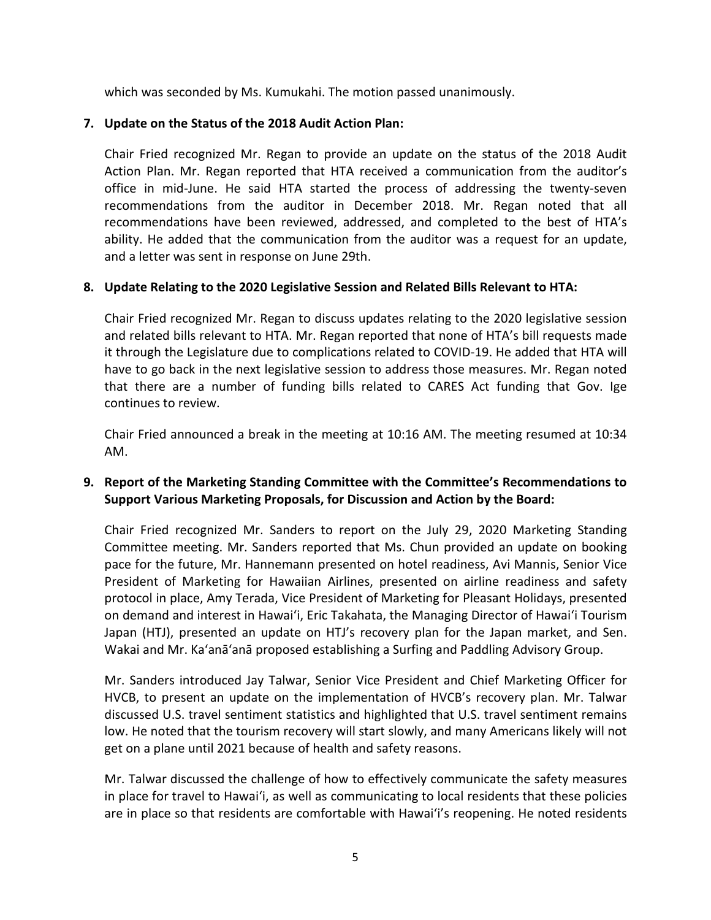which was seconded by Ms. Kumukahi. The motion passed unanimously.

# **7. Update on the Status of the 2018 Audit Action Plan:**

Chair Fried recognized Mr. Regan to provide an update on the status of the 2018 Audit Action Plan. Mr. Regan reported that HTA received a communication from the auditor's office in mid-June. He said HTA started the process of addressing the twenty-seven recommendations from the auditor in December 2018. Mr. Regan noted that all recommendations have been reviewed, addressed, and completed to the best of HTA's ability. He added that the communication from the auditor was a request for an update, and a letter was sent in response on June 29th.

# **8. Update Relating to the 2020 Legislative Session and Related Bills Relevant to HTA:**

Chair Fried recognized Mr. Regan to discuss updates relating to the 2020 legislative session and related bills relevant to HTA. Mr. Regan reported that none of HTA's bill requests made it through the Legislature due to complications related to COVID-19. He added that HTA will have to go back in the next legislative session to address those measures. Mr. Regan noted that there are a number of funding bills related to CARES Act funding that Gov. Ige continues to review.

Chair Fried announced a break in the meeting at 10:16 AM. The meeting resumed at 10:34 AM.

# **9. Report of the Marketing Standing Committee with the Committee's Recommendations to Support Various Marketing Proposals, for Discussion and Action by the Board:**

Chair Fried recognized Mr. Sanders to report on the July 29, 2020 Marketing Standing Committee meeting. Mr. Sanders reported that Ms. Chun provided an update on booking pace for the future, Mr. Hannemann presented on hotel readiness, Avi Mannis, Senior Vice President of Marketing for Hawaiian Airlines, presented on airline readiness and safety protocol in place, Amy Terada, Vice President of Marketing for Pleasant Holidays, presented on demand and interest in Hawaiʻi, Eric Takahata, the Managing Director of Hawaiʻi Tourism Japan (HTJ), presented an update on HTJ's recovery plan for the Japan market, and Sen. Wakai and Mr. Ka'anā'anā proposed establishing a Surfing and Paddling Advisory Group.

Mr. Sanders introduced Jay Talwar, Senior Vice President and Chief Marketing Officer for HVCB, to present an update on the implementation of HVCB's recovery plan. Mr. Talwar discussed U.S. travel sentiment statistics and highlighted that U.S. travel sentiment remains low. He noted that the tourism recovery will start slowly, and many Americans likely will not get on a plane until 2021 because of health and safety reasons.

Mr. Talwar discussed the challenge of how to effectively communicate the safety measures in place for travel to Hawaiʻi, as well as communicating to local residents that these policies are in place so that residents are comfortable with Hawaiʻi's reopening. He noted residents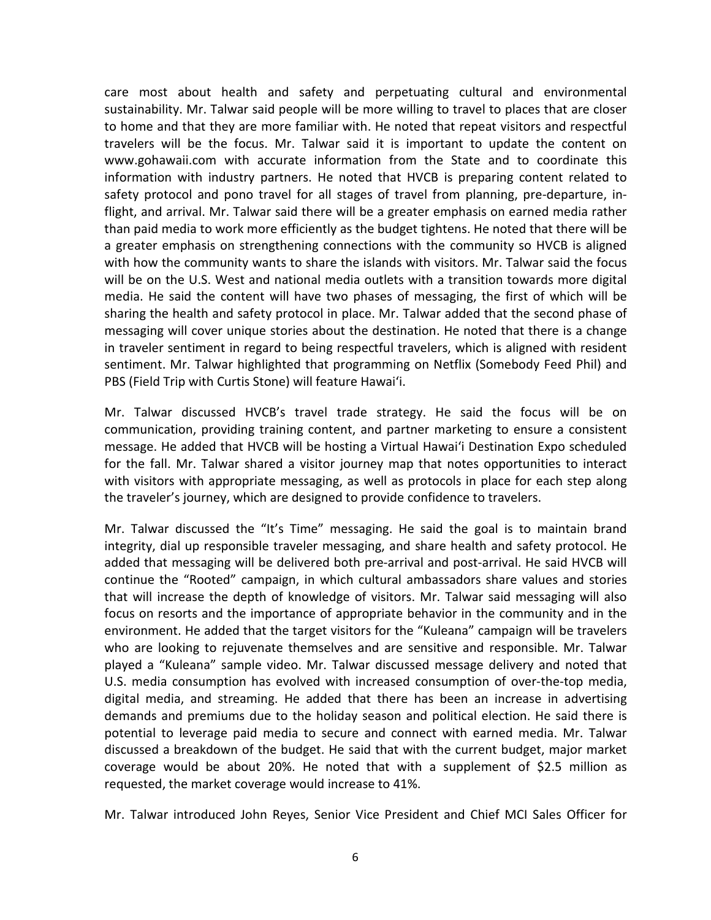care most about health and safety and perpetuating cultural and environmental sustainability. Mr. Talwar said people will be more willing to travel to places that are closer to home and that they are more familiar with. He noted that repeat visitors and respectful travelers will be the focus. Mr. Talwar said it is important to update the content on www.gohawaii.com with accurate information from the State and to coordinate this information with industry partners. He noted that HVCB is preparing content related to safety protocol and pono travel for all stages of travel from planning, pre-departure, inflight, and arrival. Mr. Talwar said there will be a greater emphasis on earned media rather than paid media to work more efficiently as the budget tightens. He noted that there will be a greater emphasis on strengthening connections with the community so HVCB is aligned with how the community wants to share the islands with visitors. Mr. Talwar said the focus will be on the U.S. West and national media outlets with a transition towards more digital media. He said the content will have two phases of messaging, the first of which will be sharing the health and safety protocol in place. Mr. Talwar added that the second phase of messaging will cover unique stories about the destination. He noted that there is a change in traveler sentiment in regard to being respectful travelers, which is aligned with resident sentiment. Mr. Talwar highlighted that programming on Netflix (Somebody Feed Phil) and PBS (Field Trip with Curtis Stone) will feature Hawaiʻi.

Mr. Talwar discussed HVCB's travel trade strategy. He said the focus will be on communication, providing training content, and partner marketing to ensure a consistent message. He added that HVCB will be hosting a Virtual Hawaiʻi Destination Expo scheduled for the fall. Mr. Talwar shared a visitor journey map that notes opportunities to interact with visitors with appropriate messaging, as well as protocols in place for each step along the traveler's journey, which are designed to provide confidence to travelers.

Mr. Talwar discussed the "It's Time" messaging. He said the goal is to maintain brand integrity, dial up responsible traveler messaging, and share health and safety protocol. He added that messaging will be delivered both pre-arrival and post-arrival. He said HVCB will continue the "Rooted" campaign, in which cultural ambassadors share values and stories that will increase the depth of knowledge of visitors. Mr. Talwar said messaging will also focus on resorts and the importance of appropriate behavior in the community and in the environment. He added that the target visitors for the "Kuleana" campaign will be travelers who are looking to rejuvenate themselves and are sensitive and responsible. Mr. Talwar played a "Kuleana" sample video. Mr. Talwar discussed message delivery and noted that U.S. media consumption has evolved with increased consumption of over-the-top media, digital media, and streaming. He added that there has been an increase in advertising demands and premiums due to the holiday season and political election. He said there is potential to leverage paid media to secure and connect with earned media. Mr. Talwar discussed a breakdown of the budget. He said that with the current budget, major market coverage would be about 20%. He noted that with a supplement of \$2.5 million as requested, the market coverage would increase to 41%.

Mr. Talwar introduced John Reyes, Senior Vice President and Chief MCI Sales Officer for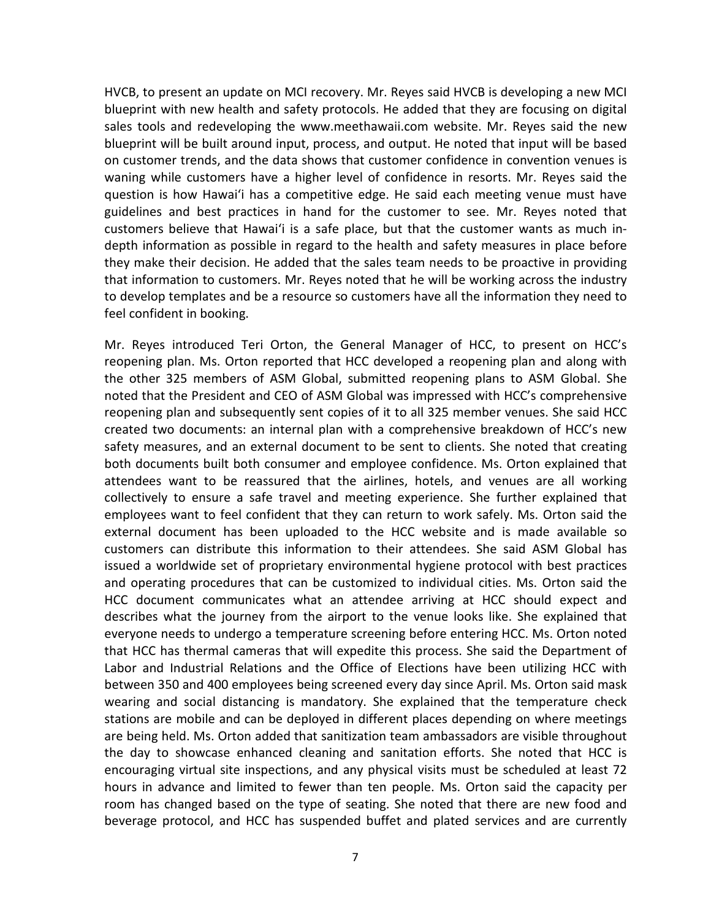HVCB, to present an update on MCI recovery. Mr. Reyes said HVCB is developing a new MCI blueprint with new health and safety protocols. He added that they are focusing on digital sales tools and redeveloping the www.meethawaii.com website. Mr. Reyes said the new blueprint will be built around input, process, and output. He noted that input will be based on customer trends, and the data shows that customer confidence in convention venues is waning while customers have a higher level of confidence in resorts. Mr. Reyes said the question is how Hawaiʻi has a competitive edge. He said each meeting venue must have guidelines and best practices in hand for the customer to see. Mr. Reyes noted that customers believe that Hawaiʻi is a safe place, but that the customer wants as much indepth information as possible in regard to the health and safety measures in place before they make their decision. He added that the sales team needs to be proactive in providing that information to customers. Mr. Reyes noted that he will be working across the industry to develop templates and be a resource so customers have all the information they need to feel confident in booking.

Mr. Reyes introduced Teri Orton, the General Manager of HCC, to present on HCC's reopening plan. Ms. Orton reported that HCC developed a reopening plan and along with the other 325 members of ASM Global, submitted reopening plans to ASM Global. She noted that the President and CEO of ASM Global was impressed with HCC's comprehensive reopening plan and subsequently sent copies of it to all 325 member venues. She said HCC created two documents: an internal plan with a comprehensive breakdown of HCC's new safety measures, and an external document to be sent to clients. She noted that creating both documents built both consumer and employee confidence. Ms. Orton explained that attendees want to be reassured that the airlines, hotels, and venues are all working collectively to ensure a safe travel and meeting experience. She further explained that employees want to feel confident that they can return to work safely. Ms. Orton said the external document has been uploaded to the HCC website and is made available so customers can distribute this information to their attendees. She said ASM Global has issued a worldwide set of proprietary environmental hygiene protocol with best practices and operating procedures that can be customized to individual cities. Ms. Orton said the HCC document communicates what an attendee arriving at HCC should expect and describes what the journey from the airport to the venue looks like. She explained that everyone needs to undergo a temperature screening before entering HCC. Ms. Orton noted that HCC has thermal cameras that will expedite this process. She said the Department of Labor and Industrial Relations and the Office of Elections have been utilizing HCC with between 350 and 400 employees being screened every day since April. Ms. Orton said mask wearing and social distancing is mandatory. She explained that the temperature check stations are mobile and can be deployed in different places depending on where meetings are being held. Ms. Orton added that sanitization team ambassadors are visible throughout the day to showcase enhanced cleaning and sanitation efforts. She noted that HCC is encouraging virtual site inspections, and any physical visits must be scheduled at least 72 hours in advance and limited to fewer than ten people. Ms. Orton said the capacity per room has changed based on the type of seating. She noted that there are new food and beverage protocol, and HCC has suspended buffet and plated services and are currently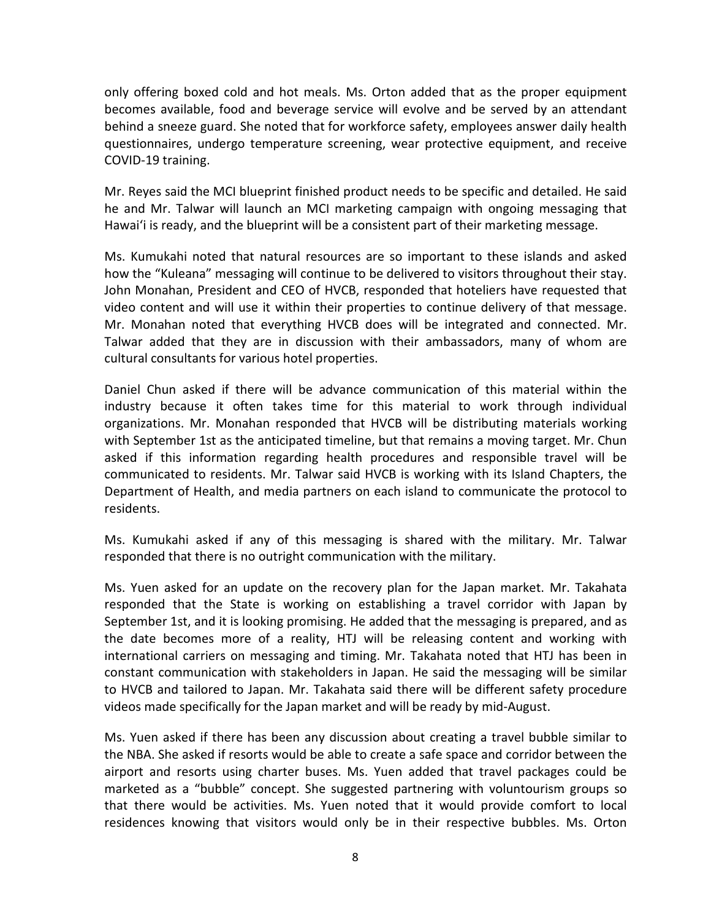only offering boxed cold and hot meals. Ms. Orton added that as the proper equipment becomes available, food and beverage service will evolve and be served by an attendant behind a sneeze guard. She noted that for workforce safety, employees answer daily health questionnaires, undergo temperature screening, wear protective equipment, and receive COVID-19 training.

Mr. Reyes said the MCI blueprint finished product needs to be specific and detailed. He said he and Mr. Talwar will launch an MCI marketing campaign with ongoing messaging that Hawaiʻi is ready, and the blueprint will be a consistent part of their marketing message.

Ms. Kumukahi noted that natural resources are so important to these islands and asked how the "Kuleana" messaging will continue to be delivered to visitors throughout their stay. John Monahan, President and CEO of HVCB, responded that hoteliers have requested that video content and will use it within their properties to continue delivery of that message. Mr. Monahan noted that everything HVCB does will be integrated and connected. Mr. Talwar added that they are in discussion with their ambassadors, many of whom are cultural consultants for various hotel properties.

Daniel Chun asked if there will be advance communication of this material within the industry because it often takes time for this material to work through individual organizations. Mr. Monahan responded that HVCB will be distributing materials working with September 1st as the anticipated timeline, but that remains a moving target. Mr. Chun asked if this information regarding health procedures and responsible travel will be communicated to residents. Mr. Talwar said HVCB is working with its Island Chapters, the Department of Health, and media partners on each island to communicate the protocol to residents.

Ms. Kumukahi asked if any of this messaging is shared with the military. Mr. Talwar responded that there is no outright communication with the military.

Ms. Yuen asked for an update on the recovery plan for the Japan market. Mr. Takahata responded that the State is working on establishing a travel corridor with Japan by September 1st, and it is looking promising. He added that the messaging is prepared, and as the date becomes more of a reality, HTJ will be releasing content and working with international carriers on messaging and timing. Mr. Takahata noted that HTJ has been in constant communication with stakeholders in Japan. He said the messaging will be similar to HVCB and tailored to Japan. Mr. Takahata said there will be different safety procedure videos made specifically for the Japan market and will be ready by mid-August.

Ms. Yuen asked if there has been any discussion about creating a travel bubble similar to the NBA. She asked if resorts would be able to create a safe space and corridor between the airport and resorts using charter buses. Ms. Yuen added that travel packages could be marketed as a "bubble" concept. She suggested partnering with voluntourism groups so that there would be activities. Ms. Yuen noted that it would provide comfort to local residences knowing that visitors would only be in their respective bubbles. Ms. Orton